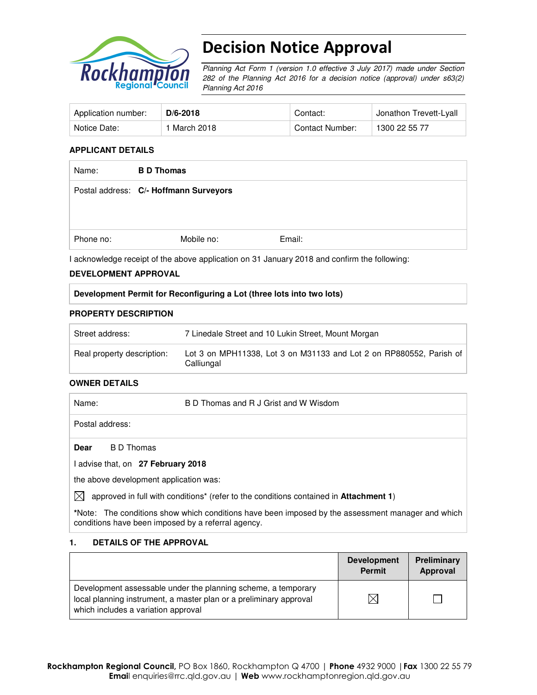

# Decision Notice Approval

Planning Act Form 1 (version 1.0 effective 3 July 2017) made under Section 282 of the Planning Act 2016 for a decision notice (approval) under s63(2) Planning Act 2016

| Application number: | $D/6 - 2018$ | Contact:        | Jonathon Trevett-Lyall |
|---------------------|--------------|-----------------|------------------------|
| Notice Date:        | 1 March 2018 | Contact Number: | 1300 22 55 77          |

#### **APPLICANT DETAILS**

| Name:     | <b>BD</b> Thomas                       |        |
|-----------|----------------------------------------|--------|
|           | Postal address: C/- Hoffmann Surveyors |        |
|           |                                        |        |
| Phone no: | Mobile no:                             | Email: |

I acknowledge receipt of the above application on 31 January 2018 and confirm the following:

#### **DEVELOPMENT APPROVAL**

#### **Development Permit for Reconfiguring a Lot (three lots into two lots)**

#### **PROPERTY DESCRIPTION**

| Street address:            | 7 Linedale Street and 10 Lukin Street, Mount Morgan                               |
|----------------------------|-----------------------------------------------------------------------------------|
| Real property description: | Lot 3 on MPH11338, Lot 3 on M31133 and Lot 2 on RP880552, Parish of<br>Calliungal |

# **OWNER DETAILS**

| Name:                                  | B D Thomas and R J Grist and W Wisdom                                                 |
|----------------------------------------|---------------------------------------------------------------------------------------|
| Postal address:                        |                                                                                       |
| <b>Dear</b><br>B D Thomas              |                                                                                       |
| I advise that, on 27 February 2018     |                                                                                       |
| the above development application was: |                                                                                       |
| $\boxtimes$                            | approved in full with conditions* (refer to the conditions contained in Attachment 1) |

**\***Note:The conditions show which conditions have been imposed by the assessment manager and which conditions have been imposed by a referral agency.

# **1. DETAILS OF THE APPROVAL**

|                                                                                                                                                                            | <b>Development</b><br><b>Permit</b> | Preliminary<br>Approval |
|----------------------------------------------------------------------------------------------------------------------------------------------------------------------------|-------------------------------------|-------------------------|
| Development assessable under the planning scheme, a temporary<br>local planning instrument, a master plan or a preliminary approval<br>which includes a variation approval |                                     |                         |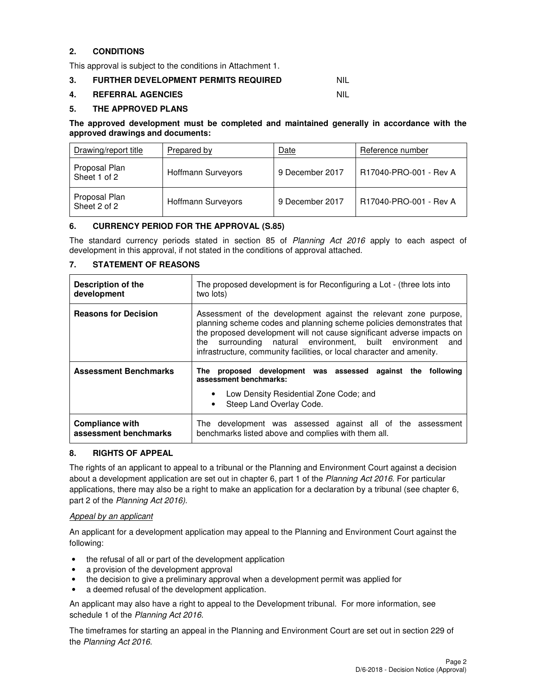# **2. CONDITIONS**

This approval is subject to the conditions in Attachment 1.

# **3. FURTHER DEVELOPMENT PERMITS REQUIRED NIL**

#### **4. REFERRAL AGENCIES** NIL

#### **5. THE APPROVED PLANS**

#### **The approved development must be completed and maintained generally in accordance with the approved drawings and documents:**

| Drawing/report title          | <b>Prepared by</b> | Date            | Reference number       |
|-------------------------------|--------------------|-----------------|------------------------|
| Proposal Plan<br>Sheet 1 of 2 | Hoffmann Surveyors | 9 December 2017 | R17040-PRO-001 - Rev A |
| Proposal Plan<br>Sheet 2 of 2 | Hoffmann Surveyors | 9 December 2017 | R17040-PRO-001 - Rev A |

# **6. CURRENCY PERIOD FOR THE APPROVAL (S.85)**

The standard currency periods stated in section 85 of Planning Act 2016 apply to each aspect of development in this approval, if not stated in the conditions of approval attached.

# **7. STATEMENT OF REASONS**

| <b>Description of the</b><br>development        | The proposed development is for Reconfiguring a Lot - (three lots into<br>two lots)                                                                                                                                                                                                                                                                             |  |  |
|-------------------------------------------------|-----------------------------------------------------------------------------------------------------------------------------------------------------------------------------------------------------------------------------------------------------------------------------------------------------------------------------------------------------------------|--|--|
| <b>Reasons for Decision</b>                     | Assessment of the development against the relevant zone purpose,<br>planning scheme codes and planning scheme policies demonstrates that<br>the proposed development will not cause significant adverse impacts on<br>surrounding natural environment, built environment<br>the<br>and<br>infrastructure, community facilities, or local character and amenity. |  |  |
| <b>Assessment Benchmarks</b>                    | The proposed development was assessed<br>against the following<br>assessment benchmarks:                                                                                                                                                                                                                                                                        |  |  |
|                                                 | Low Density Residential Zone Code; and<br>Steep Land Overlay Code.<br>٠                                                                                                                                                                                                                                                                                         |  |  |
| <b>Compliance with</b><br>assessment benchmarks | The development was assessed against all of the assessment<br>benchmarks listed above and complies with them all.                                                                                                                                                                                                                                               |  |  |

#### **8. RIGHTS OF APPEAL**

The rights of an applicant to appeal to a tribunal or the Planning and Environment Court against a decision about a development application are set out in chapter 6, part 1 of the Planning Act 2016. For particular applications, there may also be a right to make an application for a declaration by a tribunal (see chapter 6, part 2 of the Planning Act 2016).

#### Appeal by an applicant

An applicant for a development application may appeal to the Planning and Environment Court against the following:

- the refusal of all or part of the development application
- a provision of the development approval
- the decision to give a preliminary approval when a development permit was applied for
- a deemed refusal of the development application.

An applicant may also have a right to appeal to the Development tribunal. For more information, see schedule 1 of the Planning Act 2016.

The timeframes for starting an appeal in the Planning and Environment Court are set out in section 229 of the Planning Act 2016.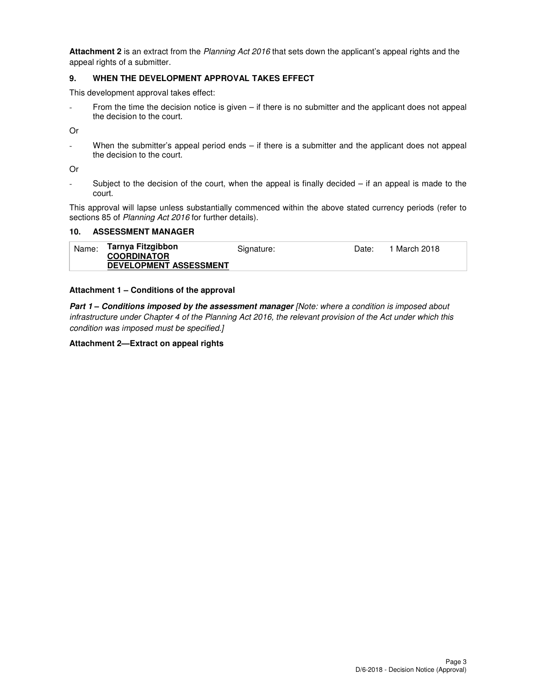**Attachment 2** is an extract from the Planning Act 2016 that sets down the applicant's appeal rights and the appeal rights of a submitter.

#### **9. WHEN THE DEVELOPMENT APPROVAL TAKES EFFECT**

This development approval takes effect:

From the time the decision notice is given – if there is no submitter and the applicant does not appeal the decision to the court.

Or

- When the submitter's appeal period ends – if there is a submitter and the applicant does not appeal the decision to the court.

Or

- Subject to the decision of the court, when the appeal is finally decided – if an appeal is made to the court.

This approval will lapse unless substantially commenced within the above stated currency periods (refer to sections 85 of Planning Act 2016 for further details).

# **10. ASSESSMENT MANAGER**

| Name:<br>1 March 2018<br>Date:<br>Signature:<br><b>COORDINATOR</b><br><b>DEVELOPMENT ASSESSMENT</b> |
|-----------------------------------------------------------------------------------------------------|
|-----------------------------------------------------------------------------------------------------|

# **Attachment 1 – Conditions of the approval**

**Part 1 – Conditions imposed by the assessment manager** [Note: where a condition is imposed about infrastructure under Chapter 4 of the Planning Act 2016, the relevant provision of the Act under which this condition was imposed must be specified.]

#### **Attachment 2—Extract on appeal rights**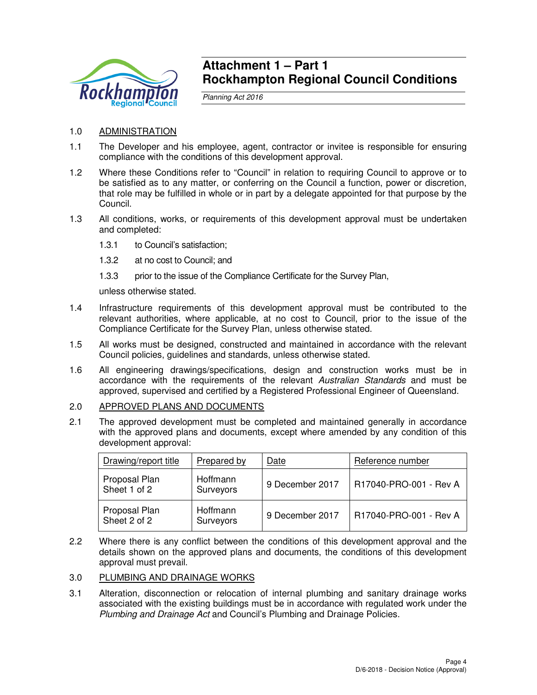

# **Attachment 1 – Part 1 Rockhampton Regional Council Conditions**

Planning Act 2016

# 1.0 ADMINISTRATION

- 1.1 The Developer and his employee, agent, contractor or invitee is responsible for ensuring compliance with the conditions of this development approval.
- 1.2 Where these Conditions refer to "Council" in relation to requiring Council to approve or to be satisfied as to any matter, or conferring on the Council a function, power or discretion, that role may be fulfilled in whole or in part by a delegate appointed for that purpose by the Council.
- 1.3 All conditions, works, or requirements of this development approval must be undertaken and completed:
	- 1.3.1 to Council's satisfaction;
	- 1.3.2 at no cost to Council; and
	- 1.3.3 prior to the issue of the Compliance Certificate for the Survey Plan,

unless otherwise stated.

- 1.4 Infrastructure requirements of this development approval must be contributed to the relevant authorities, where applicable, at no cost to Council, prior to the issue of the Compliance Certificate for the Survey Plan, unless otherwise stated.
- 1.5 All works must be designed, constructed and maintained in accordance with the relevant Council policies, guidelines and standards, unless otherwise stated.
- 1.6 All engineering drawings/specifications, design and construction works must be in accordance with the requirements of the relevant Australian Standards and must be approved, supervised and certified by a Registered Professional Engineer of Queensland.
- 2.0 APPROVED PLANS AND DOCUMENTS
- 2.1 The approved development must be completed and maintained generally in accordance with the approved plans and documents, except where amended by any condition of this development approval:

| Drawing/report title          | Prepared by           | Date            | Reference number       |
|-------------------------------|-----------------------|-----------------|------------------------|
| Proposal Plan<br>Sheet 1 of 2 | Hoffmann<br>Surveyors | 9 December 2017 | R17040-PRO-001 - Rev A |
| Proposal Plan<br>Sheet 2 of 2 | Hoffmann<br>Surveyors | 9 December 2017 | R17040-PRO-001 - Rev A |

2.2 Where there is any conflict between the conditions of this development approval and the details shown on the approved plans and documents, the conditions of this development approval must prevail.

# 3.0 PLUMBING AND DRAINAGE WORKS

3.1 Alteration, disconnection or relocation of internal plumbing and sanitary drainage works associated with the existing buildings must be in accordance with regulated work under the Plumbing and Drainage Act and Council's Plumbing and Drainage Policies.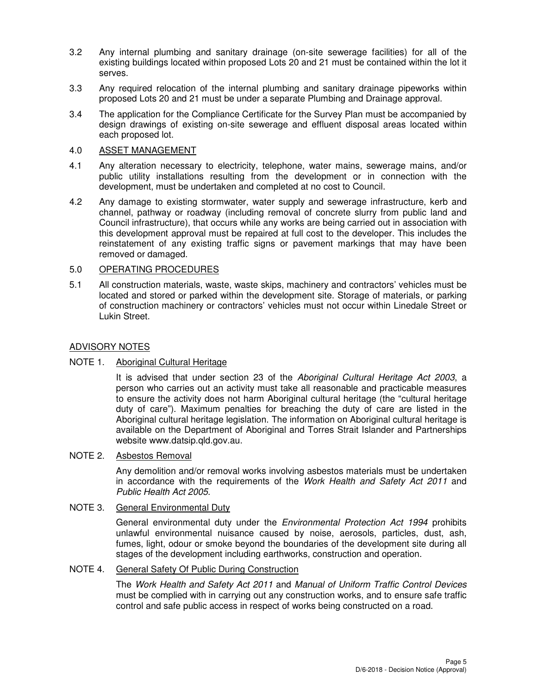- 3.2 Any internal plumbing and sanitary drainage (on-site sewerage facilities) for all of the existing buildings located within proposed Lots 20 and 21 must be contained within the lot it serves.
- 3.3 Any required relocation of the internal plumbing and sanitary drainage pipeworks within proposed Lots 20 and 21 must be under a separate Plumbing and Drainage approval.
- 3.4 The application for the Compliance Certificate for the Survey Plan must be accompanied by design drawings of existing on-site sewerage and effluent disposal areas located within each proposed lot.

# 4.0 ASSET MANAGEMENT

- 4.1 Any alteration necessary to electricity, telephone, water mains, sewerage mains, and/or public utility installations resulting from the development or in connection with the development, must be undertaken and completed at no cost to Council.
- 4.2 Any damage to existing stormwater, water supply and sewerage infrastructure, kerb and channel, pathway or roadway (including removal of concrete slurry from public land and Council infrastructure), that occurs while any works are being carried out in association with this development approval must be repaired at full cost to the developer. This includes the reinstatement of any existing traffic signs or pavement markings that may have been removed or damaged.

# 5.0 OPERATING PROCEDURES

5.1 All construction materials, waste, waste skips, machinery and contractors' vehicles must be located and stored or parked within the development site. Storage of materials, or parking of construction machinery or contractors' vehicles must not occur within Linedale Street or Lukin Street.

# ADVISORY NOTES

# NOTE 1. Aboriginal Cultural Heritage

It is advised that under section 23 of the Aboriginal Cultural Heritage Act 2003, a person who carries out an activity must take all reasonable and practicable measures to ensure the activity does not harm Aboriginal cultural heritage (the "cultural heritage duty of care"). Maximum penalties for breaching the duty of care are listed in the Aboriginal cultural heritage legislation. The information on Aboriginal cultural heritage is available on the Department of Aboriginal and Torres Strait Islander and Partnerships website www.datsip.qld.gov.au.

# NOTE 2. Asbestos Removal

Any demolition and/or removal works involving asbestos materials must be undertaken in accordance with the requirements of the Work Health and Safety Act 2011 and Public Health Act 2005.

# NOTE 3. General Environmental Duty

General environmental duty under the *Environmental Protection Act 1994* prohibits unlawful environmental nuisance caused by noise, aerosols, particles, dust, ash, fumes, light, odour or smoke beyond the boundaries of the development site during all stages of the development including earthworks, construction and operation.

# NOTE 4. General Safety Of Public During Construction

The Work Health and Safety Act 2011 and Manual of Uniform Traffic Control Devices must be complied with in carrying out any construction works, and to ensure safe traffic control and safe public access in respect of works being constructed on a road.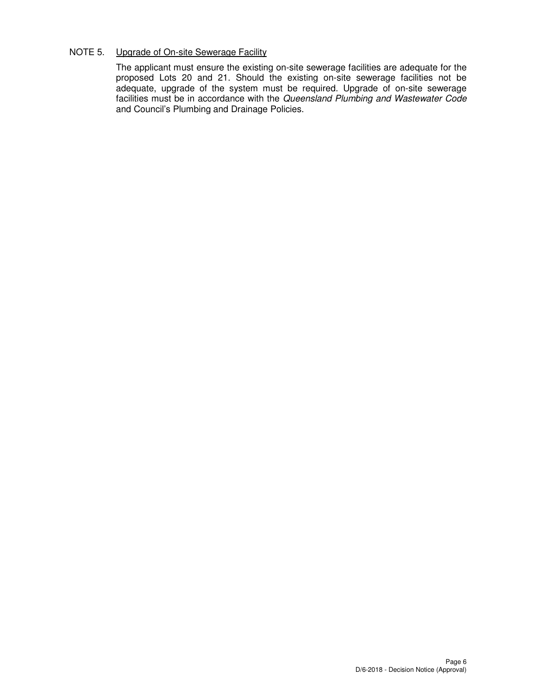# NOTE 5. Upgrade of On-site Sewerage Facility

The applicant must ensure the existing on-site sewerage facilities are adequate for the proposed Lots 20 and 21. Should the existing on-site sewerage facilities not be adequate, upgrade of the system must be required. Upgrade of on-site sewerage facilities must be in accordance with the Queensland Plumbing and Wastewater Code and Council's Plumbing and Drainage Policies.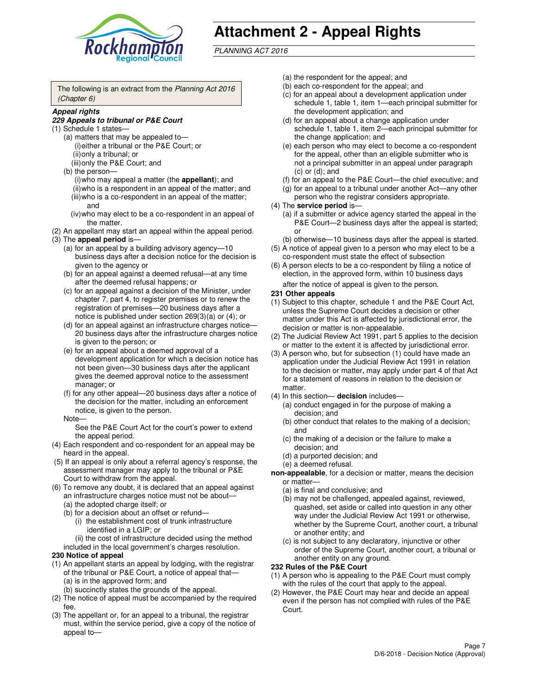

# **Attachment 2 - Appeal Rights**

PLANNING ACT 2016

The following is an extract from the Planning Act 2016 (Chapter 6)

#### **Appeal rights**

#### **229 Appeals to tribunal or P&E Court**

- (1) Schedule 1 states—
	- (a) matters that may be appealed to— (i) either a tribunal or the P&E Court; or (ii) only a tribunal; or (iii) only the P&E Court; and
	- (b) the person—
		- (i) who may appeal a matter (the **appellant**); and
		- (ii) who is a respondent in an appeal of the matter; and (iii) who is a co-respondent in an appeal of the matter; and
		- (iv) who may elect to be a co-respondent in an appeal of the matter.
- (2) An appellant may start an appeal within the appeal period.
- (3) The **appeal period** is—
	- (a) for an appeal by a building advisory agency—10 business days after a decision notice for the decision is given to the agency or
	- (b) for an appeal against a deemed refusal—at any time after the deemed refusal happens; or
	- (c) for an appeal against a decision of the Minister, under chapter 7, part 4, to register premises or to renew the registration of premises—20 business days after a notice is published under section 269(3)(a) or (4); or
	- (d) for an appeal against an infrastructure charges notice— 20 business days after the infrastructure charges notice is given to the person; or
	- (e) for an appeal about a deemed approval of a development application for which a decision notice has not been given—30 business days after the applicant gives the deemed approval notice to the assessment manager; or
	- (f) for any other appeal—20 business days after a notice of the decision for the matter, including an enforcement notice, is given to the person.
	- Note—

See the P&E Court Act for the court's power to extend the appeal period.

- (4) Each respondent and co-respondent for an appeal may be heard in the appeal.
- (5) If an appeal is only about a referral agency's response, the assessment manager may apply to the tribunal or P&E Court to withdraw from the appeal.
- (6) To remove any doubt, it is declared that an appeal against an infrastructure charges notice must not be about—
	- (a) the adopted charge itself; or
	- (b) for a decision about an offset or refund—
		- (i) the establishment cost of trunk infrastructure identified in a LGIP; or
		- (ii) the cost of infrastructure decided using the method
- included in the local government's charges resolution. **230 Notice of appeal**
- (1) An appellant starts an appeal by lodging, with the registrar of the tribunal or P&E Court, a notice of appeal that—
	- (a) is in the approved form; and
	- (b) succinctly states the grounds of the appeal.
- (2) The notice of appeal must be accompanied by the required fee.
- (3) The appellant or, for an appeal to a tribunal, the registrar must, within the service period, give a copy of the notice of appeal to—
- (a) the respondent for the appeal; and
- (b) each co-respondent for the appeal; and
- (c) for an appeal about a development application under schedule 1, table 1, item 1—each principal submitter for the development application; and
- (d) for an appeal about a change application under schedule 1, table 1, item 2—each principal submitter for the change application; and
- (e) each person who may elect to become a co-respondent for the appeal, other than an eligible submitter who is not a principal submitter in an appeal under paragraph  $(c)$  or  $(d)$ ; and
- (f) for an appeal to the P&E Court—the chief executive; and
- (g) for an appeal to a tribunal under another Act—any other person who the registrar considers appropriate.
- (4) The **service period** is—
	- (a) if a submitter or advice agency started the appeal in the P&E Court—2 business days after the appeal is started; or
	- (b) otherwise—10 business days after the appeal is started.
- (5) A notice of appeal given to a person who may elect to be a co-respondent must state the effect of subsection
- (6) A person elects to be a co-respondent by filing a notice of election, in the approved form, within 10 business days after the notice of appeal is given to the person*.*
- **231 Other appeals**
- (1) Subject to this chapter, schedule 1 and the P&E Court Act, unless the Supreme Court decides a decision or other matter under this Act is affected by jurisdictional error, the decision or matter is non-appealable.
- (2) The Judicial Review Act 1991, part 5 applies to the decision or matter to the extent it is affected by jurisdictional error.
- (3) A person who, but for subsection (1) could have made an application under the Judicial Review Act 1991 in relation to the decision or matter, may apply under part 4 of that Act for a statement of reasons in relation to the decision or matter.
- (4) In this section— **decision** includes—
	- (a) conduct engaged in for the purpose of making a decision; and
	- (b) other conduct that relates to the making of a decision; and
	- (c) the making of a decision or the failure to make a decision; and
	- (d) a purported decision; and
	- (e) a deemed refusal.

**non-appealable**, for a decision or matter, means the decision or matter—

- (a) is final and conclusive; and
- (b) may not be challenged, appealed against, reviewed, quashed, set aside or called into question in any other way under the Judicial Review Act 1991 or otherwise, whether by the Supreme Court, another court, a tribunal or another entity; and
- (c) is not subject to any declaratory, injunctive or other order of the Supreme Court, another court, a tribunal or another entity on any ground.

#### **232 Rules of the P&E Court**

- (1) A person who is appealing to the P&E Court must comply with the rules of the court that apply to the appeal.
- (2) However, the P&E Court may hear and decide an appeal even if the person has not complied with rules of the P&E Court.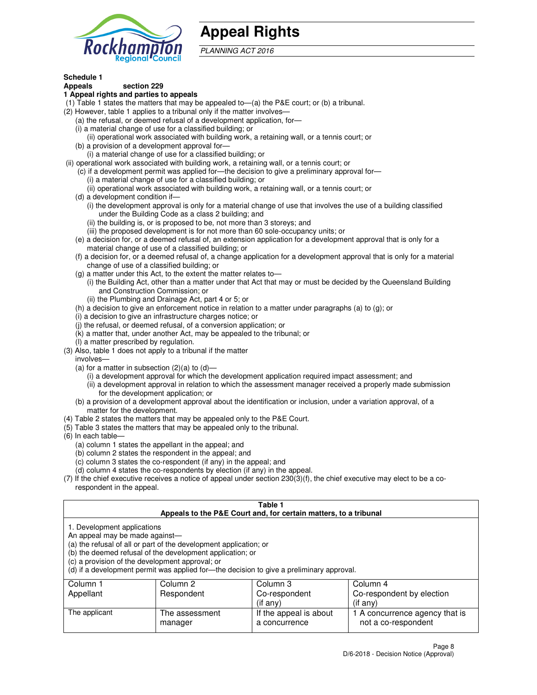

# **Appeal Rights**

PLANNING ACT 2016

# **Schedule 1**

# **Appeals section 229**

#### **1 Appeal rights and parties to appeals**

- (1) Table 1 states the matters that may be appealed to—(a) the P&E court; or (b) a tribunal.
- (2) However, table 1 applies to a tribunal only if the matter involves—
	- (a) the refusal, or deemed refusal of a development application, for—
	- (i) a material change of use for a classified building; or
	- (ii) operational work associated with building work, a retaining wall, or a tennis court; or
	- (b) a provision of a development approval for—
	- (i) a material change of use for a classified building; or
- (ii) operational work associated with building work, a retaining wall, or a tennis court; or
	- (c) if a development permit was applied for—the decision to give a preliminary approval for—
		- (i) a material change of use for a classified building; or
		- (ii) operational work associated with building work, a retaining wall, or a tennis court; or
	- (d) a development condition if—
		- (i) the development approval is only for a material change of use that involves the use of a building classified under the Building Code as a class 2 building; and
		- (ii) the building is, or is proposed to be, not more than 3 storeys; and
		- (iii) the proposed development is for not more than 60 sole-occupancy units; or
	- (e) a decision for, or a deemed refusal of, an extension application for a development approval that is only for a material change of use of a classified building; or
	- (f) a decision for, or a deemed refusal of, a change application for a development approval that is only for a material change of use of a classified building; or
	- (g) a matter under this Act, to the extent the matter relates to—
		- (i) the Building Act, other than a matter under that Act that may or must be decided by the Queensland Building and Construction Commission; or
		- (ii) the Plumbing and Drainage Act, part 4 or 5; or
	- (h) a decision to give an enforcement notice in relation to a matter under paragraphs (a) to (g); or
	- (i) a decision to give an infrastructure charges notice; or
	- (j) the refusal, or deemed refusal, of a conversion application; or
	- (k) a matter that, under another Act, may be appealed to the tribunal; or
	- (l) a matter prescribed by regulation.
- (3) Also, table 1 does not apply to a tribunal if the matter
	- involves—
	- (a) for a matter in subsection  $(2)(a)$  to  $(d)$ 
		- (i) a development approval for which the development application required impact assessment; and
		- (ii) a development approval in relation to which the assessment manager received a properly made submission for the development application; or
	- (b) a provision of a development approval about the identification or inclusion, under a variation approval, of a matter for the development.
- (4) Table 2 states the matters that may be appealed only to the P&E Court.
- (5) Table 3 states the matters that may be appealed only to the tribunal.
- (6) In each table—
	- (a) column 1 states the appellant in the appeal; and
	- (b) column 2 states the respondent in the appeal; and
	- (c) column 3 states the co-respondent (if any) in the appeal; and
	- (d) column 4 states the co-respondents by election (if any) in the appeal.
- $(7)$  If the chief executive receives a notice of appeal under section  $230(3)(f)$ , the chief executive may elect to be a corespondent in the appeal.

| Table 1<br>Appeals to the P&E Court and, for certain matters, to a tribunal                                                                                                                                                                                                                                                                    |                           |                                         |                                                       |  |
|------------------------------------------------------------------------------------------------------------------------------------------------------------------------------------------------------------------------------------------------------------------------------------------------------------------------------------------------|---------------------------|-----------------------------------------|-------------------------------------------------------|--|
| 1. Development applications<br>An appeal may be made against-<br>(a) the refusal of all or part of the development application; or<br>(b) the deemed refusal of the development application; or<br>(c) a provision of the development approval; or<br>(d) if a development permit was applied for—the decision to give a preliminary approval. |                           |                                         |                                                       |  |
| Column 1                                                                                                                                                                                                                                                                                                                                       | Column 2                  | Column 3                                | Column 4                                              |  |
| Appellant                                                                                                                                                                                                                                                                                                                                      | Respondent                | Co-respondent                           | Co-respondent by election                             |  |
|                                                                                                                                                                                                                                                                                                                                                |                           | (if any)                                | $($ if any $)$                                        |  |
| The applicant                                                                                                                                                                                                                                                                                                                                  | The assessment<br>manager | If the appeal is about<br>a concurrence | 1 A concurrence agency that is<br>not a co-respondent |  |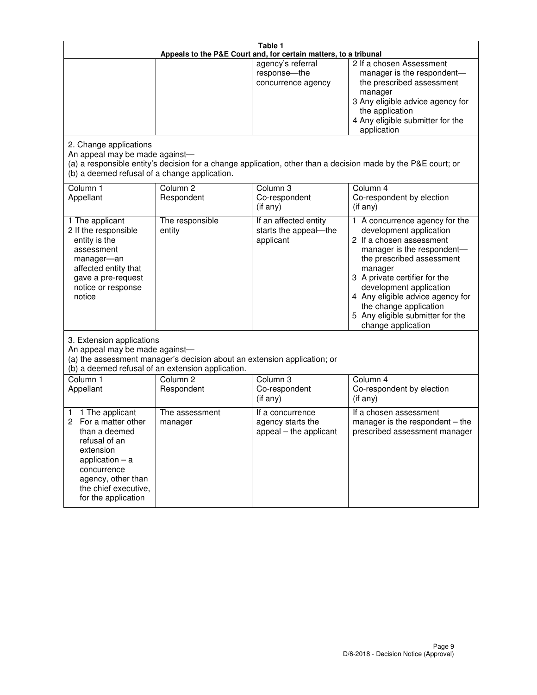| Table 1<br>Appeals to the P&E Court and, for certain matters, to a tribunal                                                                                                                             |                                                                                                                               |                                                                 |                                                                                                                                                                                                                                                                                                                                                 |
|---------------------------------------------------------------------------------------------------------------------------------------------------------------------------------------------------------|-------------------------------------------------------------------------------------------------------------------------------|-----------------------------------------------------------------|-------------------------------------------------------------------------------------------------------------------------------------------------------------------------------------------------------------------------------------------------------------------------------------------------------------------------------------------------|
|                                                                                                                                                                                                         |                                                                                                                               | agency's referral<br>response-the<br>concurrence agency         | 2 If a chosen Assessment<br>manager is the respondent-<br>the prescribed assessment<br>manager<br>3 Any eligible advice agency for<br>the application<br>4 Any eligible submitter for the<br>application                                                                                                                                        |
| 2. Change applications<br>An appeal may be made against-<br>(b) a deemed refusal of a change application.                                                                                               |                                                                                                                               |                                                                 | (a) a responsible entity's decision for a change application, other than a decision made by the P&E court; or                                                                                                                                                                                                                                   |
| Column 1<br>Appellant                                                                                                                                                                                   | Column <sub>2</sub><br>Respondent                                                                                             | Column <sub>3</sub><br>Co-respondent<br>(if any)                | Column 4<br>Co-respondent by election<br>(if any)                                                                                                                                                                                                                                                                                               |
| 1 The applicant<br>2 If the responsible<br>entity is the<br>assessment<br>manager-an<br>affected entity that<br>gave a pre-request<br>notice or response<br>notice                                      | The responsible<br>entity                                                                                                     | If an affected entity<br>starts the appeal-the<br>applicant     | 1 A concurrence agency for the<br>development application<br>2 If a chosen assessment<br>manager is the respondent-<br>the prescribed assessment<br>manager<br>3 A private certifier for the<br>development application<br>4 Any eligible advice agency for<br>the change application<br>5 Any eligible submitter for the<br>change application |
| 3. Extension applications<br>An appeal may be made against-                                                                                                                                             | (a) the assessment manager's decision about an extension application; or<br>(b) a deemed refusal of an extension application. |                                                                 |                                                                                                                                                                                                                                                                                                                                                 |
| Column 1<br>Appellant                                                                                                                                                                                   | Column <sub>2</sub><br>Respondent                                                                                             | Column <sub>3</sub><br>Co-respondent<br>(if any)                | Column 4<br>Co-respondent by election<br>(if any)                                                                                                                                                                                                                                                                                               |
| 1 The applicant<br>1<br>For a matter other<br>2<br>than a deemed<br>refusal of an<br>extension<br>application $-$ a<br>concurrence<br>agency, other than<br>the chief executive,<br>for the application | The assessment<br>manager                                                                                                     | If a concurrence<br>agency starts the<br>appeal - the applicant | If a chosen assessment<br>manager is the respondent $-$ the<br>prescribed assessment manager                                                                                                                                                                                                                                                    |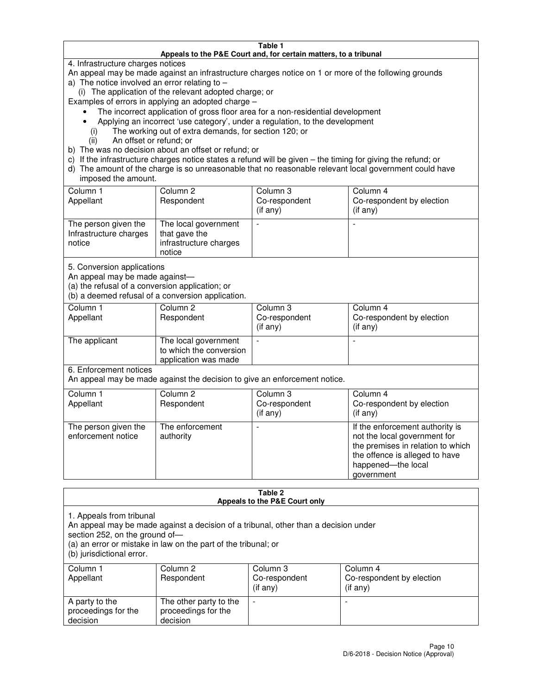#### **Table 1 Appeals to the P&E Court and, for certain matters, to a tribunal**

4. Infrastructure charges notices

An appeal may be made against an infrastructure charges notice on 1 or more of the following grounds

- a) The notice involved an error relating to
	- (i) The application of the relevant adopted charge; or
- Examples of errors in applying an adopted charge
	- The incorrect application of gross floor area for a non-residential development
	- Applying an incorrect 'use category', under a regulation, to the development
		- (i) The working out of extra demands, for section 120; or
		- (ii) An offset or refund; or
- b) The was no decision about an offset or refund; or
- c) If the infrastructure charges notice states a refund will be given the timing for giving the refund; or
- d) The amount of the charge is so unreasonable that no reasonable relevant local government could have imposed the amount.

| Column 1<br>Appellant                                    | Column 2<br>Respondent                                                    | Column 3<br>Co-respondent<br>$($ if any $)$ | Column 4<br>Co-respondent by election<br>$($ if any $)$ |
|----------------------------------------------------------|---------------------------------------------------------------------------|---------------------------------------------|---------------------------------------------------------|
| The person given the<br>Infrastructure charges<br>notice | The local government<br>that gave the<br>infrastructure charges<br>notice |                                             |                                                         |

5. Conversion applications

An appeal may be made against—

(a) the refusal of a conversion application; or

(b) a deemed refusal of a conversion application.

| Column 1<br>Appellant | Column 2<br>Respondent                                                  | Column 3<br>Co-respondent<br>$($ if any $)$ | Column 4<br>Co-respondent by election<br>$($ if any $)$ |
|-----------------------|-------------------------------------------------------------------------|---------------------------------------------|---------------------------------------------------------|
| The applicant         | The local government<br>to which the conversion<br>application was made |                                             |                                                         |

6. Enforcement notices

An appeal may be made against the decision to give an enforcement notice.

| Column 1<br>Appellant                      | Column 2<br>Respondent       | Column 3<br>Co-respondent<br>$($ if any $)$ | Column 4<br>Co-respondent by election<br>(if any)                                                                                                                          |
|--------------------------------------------|------------------------------|---------------------------------------------|----------------------------------------------------------------------------------------------------------------------------------------------------------------------------|
| The person given the<br>enforcement notice | The enforcement<br>authority |                                             | If the enforcement authority is<br>not the local government for<br>the premises in relation to which<br>the offence is alleged to have<br>happened-the local<br>government |

#### **Table 2 Appeals to the P&E Court only**

1. Appeals from tribunal

An appeal may be made against a decision of a tribunal, other than a decision under

section 252, on the ground of—

(a) an error or mistake in law on the part of the tribunal; or

(b) jurisdictional error.

| Column 1<br>Appellant                             | Column 2<br>Respondent                                    | Column 3<br>Co-respondent<br>$($ if any $)$ | Column 4<br>Co-respondent by election<br>$($ if any $)$ |
|---------------------------------------------------|-----------------------------------------------------------|---------------------------------------------|---------------------------------------------------------|
| A party to the<br>proceedings for the<br>decision | The other party to the<br>proceedings for the<br>decision | -                                           |                                                         |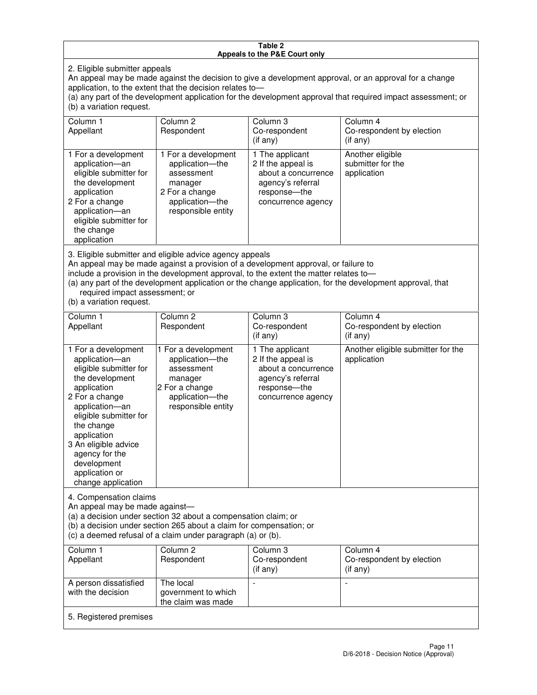#### **Table 2 Appeals to the P&E Court only**

2. Eligible submitter appeals

An appeal may be made against the decision to give a development approval, or an approval for a change application, to the extent that the decision relates to—

(a) any part of the development application for the development approval that required impact assessment; or (b) a variation request.

| Column 1<br>Appellant                                                                                                                                                                                                                                                                                                                                                                                              | Column <sub>2</sub><br>Respondent                                                                                          | Column 3<br>Co-respondent<br>(i f any)                                                                                    | Column 4<br>Co-respondent by election<br>(i f any)   |
|--------------------------------------------------------------------------------------------------------------------------------------------------------------------------------------------------------------------------------------------------------------------------------------------------------------------------------------------------------------------------------------------------------------------|----------------------------------------------------------------------------------------------------------------------------|---------------------------------------------------------------------------------------------------------------------------|------------------------------------------------------|
| 1 For a development<br>application-an<br>eligible submitter for<br>the development<br>application<br>2 For a change<br>application-an<br>eligible submitter for<br>the change<br>application                                                                                                                                                                                                                       | 1 For a development<br>application-the<br>assessment<br>manager<br>2 For a change<br>application-the<br>responsible entity | 1 The applicant<br>2 If the appeal is<br>about a concurrence<br>agency's referral<br>response---the<br>concurrence agency | Another eligible<br>submitter for the<br>application |
| 3. Eligible submitter and eligible advice agency appeals<br>An appeal may be made against a provision of a development approval, or failure to<br>include a provision in the development approval, to the extent the matter relates to-<br>(a) any part of the development application or the change application, for the development approval, that<br>required impact assessment; or<br>(b) a variation request. |                                                                                                                            |                                                                                                                           |                                                      |
| Column 1<br>Appellant                                                                                                                                                                                                                                                                                                                                                                                              | Column <sub>2</sub><br>Respondent                                                                                          | Column 3<br>Co-respondent<br>(if any)                                                                                     | Column 4<br>Co-respondent by election<br>$(if$ any)  |
| 1 For a development<br>application-an<br>eligible submitter for<br>the development                                                                                                                                                                                                                                                                                                                                 | 1 For a development<br>application-the<br>assessment<br>manager                                                            | 1 The applicant<br>2 If the appeal is<br>about a concurrence<br>agency's referral                                         | Another eligible submitter for the<br>application    |

response—the concurrence agency

change application 4. Compensation claims

application 2 For a change application—an eligible submitter for

the change application 3 An eligible advice agency for the development application or

An appeal may be made against—

(a) a decision under section 32 about a compensation claim; or

2 For a change application—the responsible entity

(b) a decision under section 265 about a claim for compensation; or

(c) a deemed refusal of a claim under paragraph (a) or (b).

| Column 1<br>Appellant                      | Column 2<br>Respondent                                 | Column 3<br>Co-respondent<br>(if any) | Column 4<br>Co-respondent by election<br>(if any) |
|--------------------------------------------|--------------------------------------------------------|---------------------------------------|---------------------------------------------------|
| A person dissatisfied<br>with the decision | The local<br>government to which<br>the claim was made |                                       |                                                   |
| 5. Registered premises                     |                                                        |                                       |                                                   |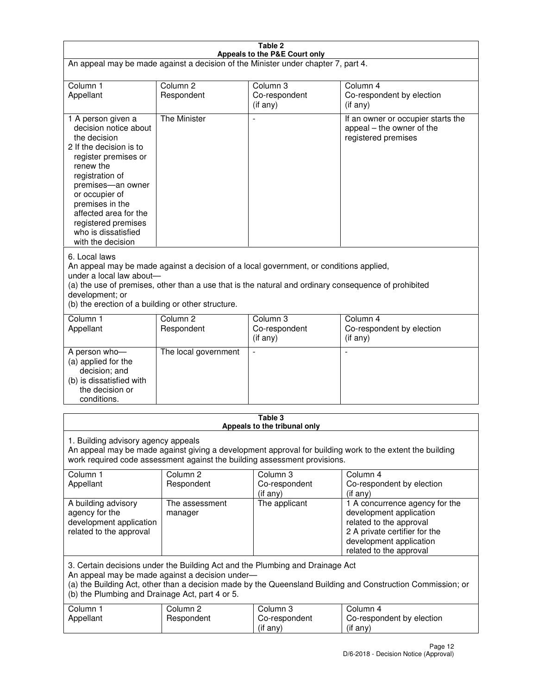| Table 2<br>Appeals to the P&E Court only                                                                                                                                                                                                                                                                             |                                   |                                       |                                                                                                                                                                             |  |
|----------------------------------------------------------------------------------------------------------------------------------------------------------------------------------------------------------------------------------------------------------------------------------------------------------------------|-----------------------------------|---------------------------------------|-----------------------------------------------------------------------------------------------------------------------------------------------------------------------------|--|
| An appeal may be made against a decision of the Minister under chapter 7, part 4.                                                                                                                                                                                                                                    |                                   |                                       |                                                                                                                                                                             |  |
|                                                                                                                                                                                                                                                                                                                      |                                   |                                       |                                                                                                                                                                             |  |
| Column 1<br>Appellant                                                                                                                                                                                                                                                                                                | Column <sub>2</sub><br>Respondent | Column <sub>3</sub><br>Co-respondent  | Column <sub>4</sub><br>Co-respondent by election                                                                                                                            |  |
|                                                                                                                                                                                                                                                                                                                      |                                   | (if any)                              | (if any)                                                                                                                                                                    |  |
| 1 A person given a<br>decision notice about<br>the decision<br>2 If the decision is to<br>register premises or<br>renew the<br>registration of<br>premises-an owner<br>or occupier of<br>premises in the<br>affected area for the<br>registered premises<br>who is dissatisfied<br>with the decision                 | <b>The Minister</b>               |                                       | If an owner or occupier starts the<br>appeal – the owner of the<br>registered premises                                                                                      |  |
| 6. Local laws<br>An appeal may be made against a decision of a local government, or conditions applied,<br>under a local law about-<br>(a) the use of premises, other than a use that is the natural and ordinary consequence of prohibited<br>development; or<br>(b) the erection of a building or other structure. |                                   |                                       |                                                                                                                                                                             |  |
| Column 1                                                                                                                                                                                                                                                                                                             | Column <sub>2</sub>               | Column 3                              | Column $\overline{4}$                                                                                                                                                       |  |
| Appellant                                                                                                                                                                                                                                                                                                            | Respondent                        | Co-respondent<br>(if any)             | Co-respondent by election<br>(if any)                                                                                                                                       |  |
| A person who-<br>(a) applied for the<br>decision; and<br>(b) is dissatisfied with<br>the decision or<br>conditions.                                                                                                                                                                                                  | The local government              |                                       |                                                                                                                                                                             |  |
| Table 3                                                                                                                                                                                                                                                                                                              |                                   |                                       |                                                                                                                                                                             |  |
| Appeals to the tribunal only<br>1. Building advisory agency appeals<br>An appeal may be made against giving a development approval for building work to the extent the building<br>work required code assessment against the building assessment provisions.<br>Column <sub>2</sub><br>Column 4                      |                                   |                                       |                                                                                                                                                                             |  |
| Column 1<br>Appellant                                                                                                                                                                                                                                                                                                | Respondent                        | Column 3<br>Co-respondent<br>(if any) | Co-respondent by election<br>(if any)                                                                                                                                       |  |
| A building advisory<br>agency for the<br>development application<br>related to the approval                                                                                                                                                                                                                          | The assessment<br>manager         | The applicant                         | 1 A concurrence agency for the<br>development application<br>related to the approval<br>2 A private certifier for the<br>development application<br>related to the approval |  |
| 3. Certain decisions under the Building Act and the Plumbing and Drainage Act<br>An appeal may be made against a decision under-<br>(a) the Building Act, other than a decision made by the Queensland Building and Construction Commission; or<br>(b) the Plumbing and Drainage Act, part 4 or 5.                   |                                   |                                       |                                                                                                                                                                             |  |
| Column 1<br>Appellant                                                                                                                                                                                                                                                                                                | Column <sub>2</sub><br>Respondent | Column 3<br>Co-respondent<br>(if any) | Column 4<br>Co-respondent by election<br>(if any)                                                                                                                           |  |